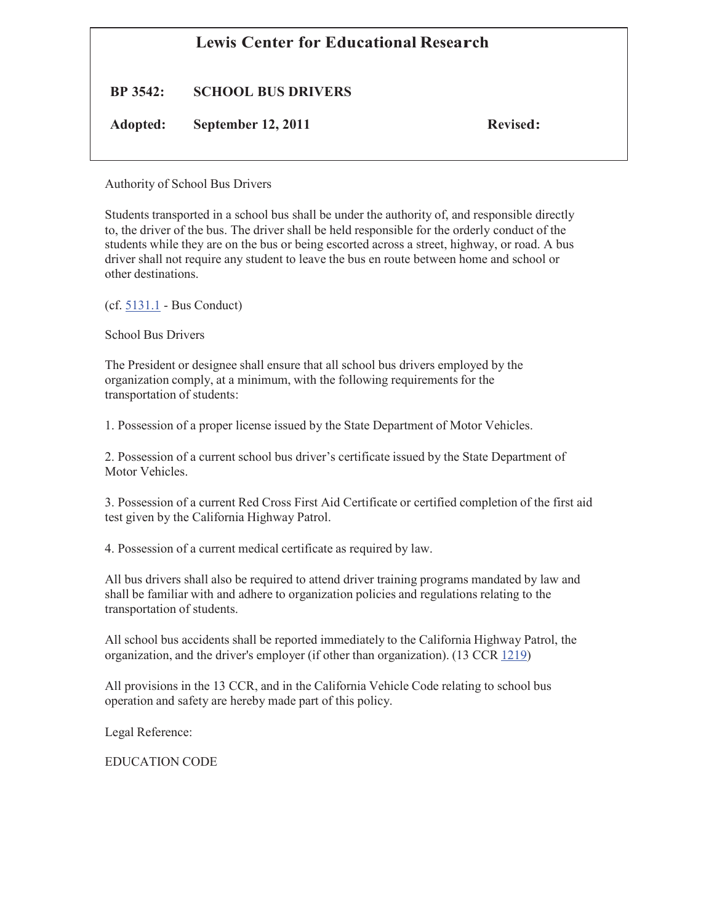# **Lewis Center for Educational Research**

**BP 3542: SCHOOL BUS DRIVERS**

**Adopted: September 12, 2011 Revised:**

Authority of School Bus Drivers

Students transported in a school bus shall be under the authority of, and responsible directly to, the driver of the bus. The driver shall be held responsible for the orderly conduct of the students while they are on the bus or being escorted across a street, highway, or road. A bus driver shall not require any student to leave the bus en route between home and school or other destinations.

(cf. 5131.1 - Bus Conduct)

School Bus Drivers

The President or designee shall ensure that all school bus drivers employed by the organization comply, at a minimum, with the following requirements for the transportation of students:

1. Possession of a proper license issued by the State Department of Motor Vehicles.

2. Possession of a current school bus driver's certificate issued by the State Department of Motor Vehicles.

3. Possession of a current Red Cross First Aid Certificate or certified completion of the first aid test given by the California Highway Patrol.

4. Possession of a current medical certificate as required by law.

All bus drivers shall also be required to attend driver training programs mandated by law and shall be familiar with and adhere to organization policies and regulations relating to the transportation of students.

All school bus accidents shall be reported immediately to the California Highway Patrol, the organization, and the driver's employer (if other than organization). (13 CCR 1219)

All provisions in the 13 CCR, and in the California Vehicle Code relating to school bus operation and safety are hereby made part of this policy.

Legal Reference:

EDUCATION CODE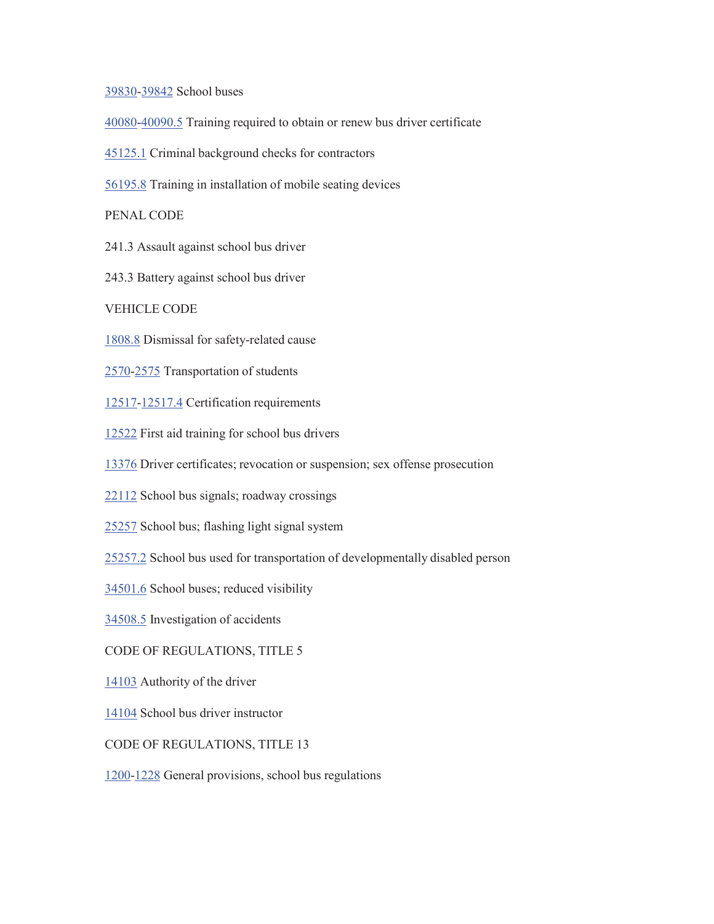#### 39830-39842 School buses

- 40080-40090.5 Training required to obtain or renew bus driver certificate
- 45125.1 Criminal background checks for contractors
- 56195.8 Training in installation of mobile seating devices

#### PENAL CODE

- 241.3 Assault against school bus driver
- 243.3 Battery against school bus driver
- VEHICLE CODE
- 1808.8 Dismissal for safety-related cause
- 2570-2575 Transportation of students
- 12517-12517.4 Certification requirements
- 12522 First aid training for school bus drivers
- 13376 Driver certificates; revocation or suspension; sex offense prosecution
- 22112 School bus signals; roadway crossings
- 25257 School bus; flashing light signal system
- 25257.2 School bus used for transportation of developmentally disabled person
- 34501.6 School buses; reduced visibility
- 34508.5 Investigation of accidents

### CODE OF REGULATIONS, TITLE 5

- 14103 Authority of the driver
- 14104 School bus driver instructor
- CODE OF REGULATIONS, TITLE 13
- 1200-1228 General provisions, school bus regulations